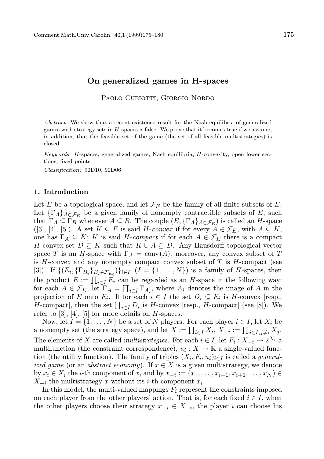## On generalized games in H-spaces

PAOLO CUBIOTTI, GIORGIO NORDO

Abstract. We show that a recent existence result for the Nash equilibria of generalized games with strategy sets in  $H$ -spaces is false. We prove that it becomes true if we assume, in addition, that the feasible set of the game (the set of all feasible multistrategies) is closed.

Keywords: H-spaces, generalized games, Nash equilibria, H-convexity, open lower sections, fixed points

Classification: 90D10, 90D06

## 1. Introduction

Let E be a topological space, and let  $\mathcal{F}_E$  be the family of all finite subsets of E. Let  $\{\Gamma_A\}_{A \in \mathcal{F}_E}$  be a given family of nonempty contractible subsets of E, such that  $\Gamma_A \subseteq \Gamma_B$  whenever  $A \subseteq B$ . The couple  $(E, {\{\Gamma_A\}}_{A \in \mathcal{F}_E})$  is called an H-space ([3], [4], [5]). A set  $K \subseteq E$  is said H-convex if for every  $A \in \mathcal{F}_E$ , with  $A \subseteq K$ , one has  $\Gamma_A \subseteq K$ ; K is said H-compact if for each  $A \in \mathcal{F}_E$  there is a compact H-convex set  $D \subseteq K$  such that  $K \cup A \subseteq D$ . Any Hausdorff topological vector space T is an H-space with  $\Gamma_A = \text{conv}(A)$ ; moreover, any convex subset of T is  $H$ -convex and any nonempty compact convex subset of  $T$  is  $H$ -compact (see [3]). If  $\{(E_i, \{\Gamma_{B_i}\}_{B_i \in \mathcal{F}_{E_i}})\}_{i \in I}$   $(I = \{1, \ldots, N\})$  is a family of *H*-spaces, then the product  $E := \prod_{i \in I} E_i$  can be regarded as an H-space in the following way: for each  $A \in \mathcal{F}_E$ , let  $\Gamma_A = \prod_{i \in I} \Gamma_{A_i}$ , where  $A_i$  denotes the image of A in the projection of E onto  $E_i$ . If for each  $i \in I$  the set  $D_i \subseteq E_i$  is H-convex [resp., H-compact], then the set  $\prod_{i \in I} D_i$  is H-convex [resp., H-compact] (see [8]). We refer to  $[3]$ ,  $[4]$ ,  $[5]$  for more details on H-spaces.

Now, let  $I = \{1, ..., N\}$  be a set of N players. For each player  $i \in I$ , let  $X_i$  be a nonempty set (the strategy space), and let  $X := \prod_{i \in I} X_i$ ,  $X_{-i} := \prod_{j \in I, j \neq i} X_j$ . The elements of X are called *multistrategies*. For each  $i \in I$ , let  $F_i: X_{-i} \to 2^{X_i}$  a multifunction (the constraint correspondence),  $u_i: X \to \mathbb{R}$  a single-valued function (the utility function). The family of triples  $(X_i, F_i, u_i)_{i \in I}$  is called a *general*ized game (or an abstract economy). If  $x \in X$  is a given multistrategy, we denote by  $x_i \in X_i$  the *i*-th component of x, and by  $x_{-i} := (x_1, \ldots, x_{i-1}, x_{i+1}, \ldots, x_N) \in$  $X_{-i}$  the multistrategy x without its i-th component  $x_i$ .

In this model, the multi-valued mappings  $F_i$  represent the constraints imposed on each player from the other players' action. That is, for each fixed  $i \in I$ , when the other players choose their strategy  $x_{-i} \in X_{-i}$ , the player i can choose his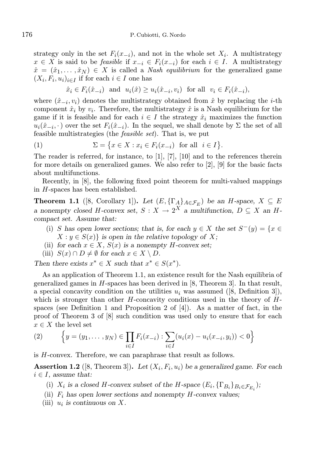strategy only in the set  $F_i(x_{-i})$ , and not in the whole set  $X_i$ . A multistrategy  $x \in X$  is said to be *feasible* if  $x_{-i} \in F_i(x_{-i})$  for each  $i \in I$ . A multistrategy  $\hat{x} = (\hat{x}_1, \dots, \hat{x}_N) \in X$  is called a *Nash equilibrium* for the generalized game  $(X_i, F_i, u_i)_{i \in I}$  if for each  $i \in I$  one has

$$
\hat{x}_i \in F_i(\hat{x}_{-i}) \quad \text{and} \quad u_i(\hat{x}) \ge u_i(\hat{x}_{-i}, v_i) \quad \text{for all} \quad v_i \in F_i(\hat{x}_{-i}),
$$

where  $(\hat{x}_{-i}, v_i)$  denotes the multistrategy obtained from  $\hat{x}$  by replacing the *i*-th component  $\hat{x}_i$  by  $v_i$ . Therefore, the multistrategy  $\hat{x}$  is a Nash equilibrium for the game if it is feasible and for each  $i \in I$  the strategy  $\hat{x}_i$  maximizes the function  $u_i(\hat{x}_{-i}, \cdot)$  over the set  $F_i(\hat{x}_{-i})$ . In the sequel, we shall denote by  $\Sigma$  the set of all feasible multistrategies (the feasible set). That is, we put

$$
(1) \qquad \qquad \Sigma = \{x \in X : x_i \in F_i(x_{-i}) \text{ for all } i \in I\}.
$$

The reader is referred, for instance, to [1], [7], [10] and to the references therein for more details on generalized games. We also refer to [2], [9] for the basic facts about multifunctions.

Recently, in [8], the following fixed point theorem for multi-valued mappings in H-spaces has been established.

**Theorem 1.1** ([8, Corollary 1]). Let  $(E, {\{\Gamma_A\}}_{A \in \mathcal{F}_E})$  be an H-space,  $X \subseteq E$ a nonempty closed H-convex set,  $S: X \to 2^X$  a multifunction,  $D \subseteq X$  an Hcompact set. Assume that:

- (i) S has open lower sections; that is, for each  $y \in X$  the set  $S^-(y) = \{x \in X\}$  $X: y \in S(x)$  is open in the relative topology of X;
- (ii) for each  $x \in X$ ,  $S(x)$  is a nonempty H-convex set;
- (iii)  $S(x) \cap D \neq \emptyset$  for each  $x \in X \setminus D$ .

Then there exists  $x^* \in X$  such that  $x^* \in S(x^*)$ .

As an application of Theorem 1.1, an existence result for the Nash equilibria of generalized games in  $H$ -spaces has been derived in [8, Theorem 3]. In that result, a special concavity condition on the utilities  $u_i$  was assumed ([8, Definition 3]), which is stronger than other  $H$ -concavity conditions used in the theory of  $H$ spaces (see Definition 1 and Proposition 2 of  $[4]$ ). As a matter of fact, in the proof of Theorem 3 of [8] such condition was used only to ensure that for each  $x \in X$  the level set

(2) 
$$
\left\{y = (y_1, \dots, y_N) \in \prod_{i \in I} F_i(x_{-i}) : \sum_{i \in I} (u_i(x) - u_i(x_{-i}, y_i)) < 0\right\}
$$

is H-convex. Therefore, we can paraphrase that result as follows.

**Assertion 1.2** ([8, Theorem 3]). Let  $(X_i, F_i, u_i)$  be a generalized game. For each  $i \in I$ , assume that:

- (i)  $X_i$  is a closed H-convex subset of the H-space  $(E_i, {\{\Gamma_{B_i}\}}_{B_i \in {\mathcal{F}_{E_i}}})$ ;
- (ii)  $F_i$  has open lower sections and nonempty H-convex values;
- (iii)  $u_i$  is continuous on X.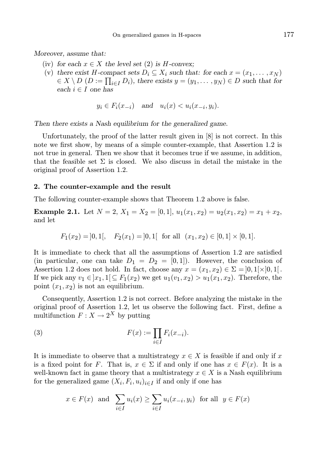Moreover, assume that:

- (iv) for each  $x \in X$  the level set (2) is H-convex;
- (v) there exist H-compact sets  $D_i \subseteq X_i$  such that: for each  $x = (x_1, \ldots, x_N)$  $\{ \in X \setminus D \ (D := \prod_{i \in I} D_i), \text{ there exists } y = (y_1, \dots, y_N) \in D \text{ such that for } \}$ each  $i \in I$  one has

$$
y_i \in F_i(x_{-i}) \quad \text{and} \quad u_i(x) < u_i(x_{-i}, y_i).
$$

Then there exists a Nash equilibrium for the generalized game.

Unfortunately, the proof of the latter result given in [8] is not correct. In this note we first show, by means of a simple counter-example, that Assertion 1.2 is not true in general. Then we show that it becomes true if we assume, in addition, that the feasible set  $\Sigma$  is closed. We also discuss in detail the mistake in the original proof of Assertion 1.2.

## 2. The counter-example and the result

The following counter-example shows that Theorem 1.2 above is false.

**Example 2.1.** Let  $N = 2$ ,  $X_1 = X_2 = [0, 1], u_1(x_1, x_2) = u_2(x_1, x_2) = x_1 + x_2$ , and let

$$
F_1(x_2) = |0,1|,
$$
  $F_2(x_1) = |0,1[$  for all  $(x_1, x_2) \in [0,1] \times [0,1].$ 

It is immediate to check that all the assumptions of Assertion 1.2 are satisfied (in particular, one can take  $D_1 = D_2 = [0, 1]$ ). However, the conclusion of Assertion 1.2 does not hold. In fact, choose any  $x = (x_1, x_2) \in \Sigma = ]0, 1[\times]0, 1[$ . If we pick any  $v_1 \in [x_1, 1] \subseteq F_1(x_2)$  we get  $u_1(v_1, x_2) > u_1(x_1, x_2)$ . Therefore, the point  $(x_1, x_2)$  is not an equilibrium.

Consequently, Assertion 1.2 is not correct. Before analyzing the mistake in the original proof of Assertion 1.2, let us observe the following fact. First, define a multifunction  $F: X \to 2^X$  by putting

(3) 
$$
F(x) := \prod_{i \in I} F_i(x_{-i}).
$$

It is immediate to observe that a multistrategy  $x \in X$  is feasible if and only if x is a fixed point for F. That is,  $x \in \Sigma$  if and only if one has  $x \in F(x)$ . It is a well-known fact in game theory that a multistrategy  $x \in X$  is a Nash equilibrium for the generalized game  $(X_i, F_i, u_i)_{i \in I}$  if and only if one has

$$
x \in F(x)
$$
 and  $\sum_{i \in I} u_i(x) \ge \sum_{i \in I} u_i(x_{-i}, y_i)$  for all  $y \in F(x)$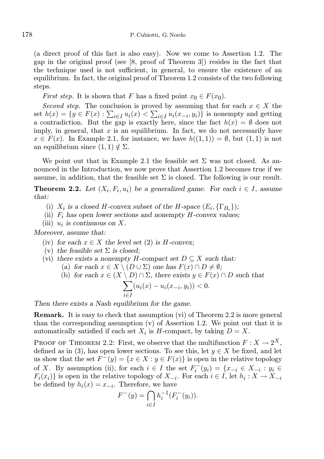(a direct proof of this fact is also easy). Now we come to Assertion 1.2. The gap in the original proof (see [8, proof of Theorem 3]) resides in the fact that the technique used is not sufficient, in general, to ensure the existence of an equilibrium. In fact, the original proof of Theorem 1.2 consists of the two following steps.

*First step.* It is shown that F has a fixed point  $x_0 \in F(x_0)$ .

Second step. The conclusion is proved by assuming that for each  $x \in X$  the set  $h(x) = \{y \in F(x) : \sum_{i \in I} u_i(x) < \sum_{i \in I} u_i(x_{-i}, y_i)\}\$ is nonempty and getting a contradiction. But the gap is exactly here, since the fact  $h(x) = \emptyset$  does not imply, in general, that  $x$  is an equilibrium. In fact, we do not necessarily have  $x \in F(x)$ . In Example 2.1, for instance, we have  $h((1,1)) = \emptyset$ , but  $(1,1)$  is not an equilibrium since  $(1, 1) \notin \Sigma$ .

We point out that in Example 2.1 the feasible set  $\Sigma$  was not closed. As announced in the Introduction, we now prove that Assertion 1.2 becomes true if we assume, in addition, that the feasible set  $\Sigma$  is closed. The following is our result.

**Theorem 2.2.** Let  $(X_i, F_i, u_i)$  be a generalized game. For each  $i \in I$ , assume that:

- (i)  $X_i$  is a closed H-convex subset of the H-space  $(E_i, \{\Gamma_{B_i}\})$ ;
- (ii)  $F_i$  has open lower sections and nonempty H-convex values;
- (iii)  $u_i$  is continuous on X.

Moreover, assume that:

- (iv) for each  $x \in X$  the level set (2) is H-convex;
- (v) the feasible set  $\Sigma$  is closed;
- (vi) there exists a nonempty H-compact set  $D \subseteq X$  such that:
	- (a) for each  $x \in X \setminus (D \cup \Sigma)$  one has  $F(x) \cap D \neq \emptyset$ ;
	- (b) for each  $x \in (X \setminus D) \cap \Sigma$ , there exists  $y \in F(x) \cap D$  such that

$$
\sum_{i \in I} (u_i(x) - u_i(x_{-i}, y_i)) < 0.
$$

Then there exists a Nash equilibrium for the game.

Remark. It is easy to check that assumption (vi) of Theorem 2.2 is more general than the corresponding assumption  $(v)$  of Assertion 1.2. We point out that it is automatically satisfied if each set  $X_i$  is H-compact, by taking  $D = X$ .

PROOF OF THEOREM 2.2: First, we observe that the multifunction  $F: X \to 2^X$ , defined as in (3), has open lower sections. To see this, let  $y \in X$  be fixed, and let us show that the set  $F^-(y) = \{x \in X : y \in F(x)\}$  is open in the relative topology of X. By assumption (ii), for each  $i \in I$  the set  $F_i^-(y_i) = \{x_{-i} \in X_{-i} : y_i \in$  $F_i(x_i)$  is open in the relative topology of  $X_{-i}$ . For each  $i \in I$ , let  $h_i: X \to X_{-i}$ be defined by  $h_i(x) = x_{-i}$ . Therefore, we have

$$
F^{-}(y) = \bigcap_{i \in I} h_i^{-1}(F_i^{-}(y_i)).
$$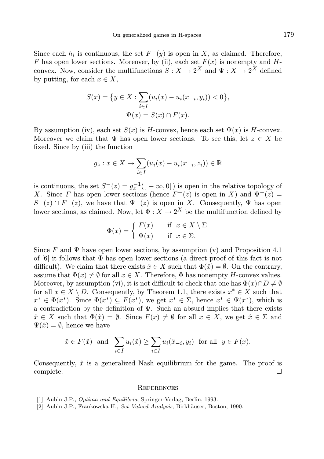Since each  $h_i$  is continuous, the set  $F^-(y)$  is open in X, as claimed. Therefore, F has open lower sections. Moreover, by (ii), each set  $F(x)$  is nonempty and Hconvex. Now, consider the multifunctions  $S: X \to 2^X$  and  $\Psi: X \to 2^X$  defined by putting, for each  $x \in X$ ,

$$
S(x) = \{ y \in X : \sum_{i \in I} (u_i(x) - u_i(x_{-i}, y_i)) < 0 \},
$$
\n
$$
\Psi(x) = S(x) \cap F(x).
$$

By assumption (iv), each set  $S(x)$  is H-convex, hence each set  $\Psi(x)$  is H-convex. Moreover we claim that  $\Psi$  has open lower sections. To see this, let  $z \in X$  be fixed. Since by (iii) the function

$$
g_z: x \in X \to \sum_{i \in I} (u_i(x) - u_i(x_{-i}, z_i)) \in \mathbb{R}
$$

is continuous, the set  $S^{-}(z) = g_z^{-1}(z) - \infty, 0$  is open in the relative topology of X. Since F has open lower sections (hence  $F^-(z)$  is open in X) and  $\Psi^-(z)$  =  $S^{-}(z) \cap F^{-}(z)$ , we have that  $\Psi^{-}(z)$  is open in X. Consequently,  $\Psi$  has open lower sections, as claimed. Now, let  $\Phi: X \to 2^X$  be the multifunction defined by

$$
\Phi(x) = \begin{cases} F(x) & \text{if } x \in X \setminus \Sigma \\ \Psi(x) & \text{if } x \in \Sigma. \end{cases}
$$

Since F and  $\Psi$  have open lower sections, by assumption (v) and Proposition 4.1 of  $[6]$  it follows that  $\Phi$  has open lower sections (a direct proof of this fact is not difficult). We claim that there exists  $\hat{x} \in X$  such that  $\Phi(\hat{x}) = \emptyset$ . On the contrary, assume that  $\Phi(x) \neq \emptyset$  for all  $x \in X$ . Therefore,  $\Phi$  has nonempty H-convex values. Moreover, by assumption (vi), it is not difficult to check that one has  $\Phi(x) \cap D \neq \emptyset$ for all  $x \in X \setminus D$ . Consequently, by Theorem 1.1, there exists  $x^* \in X$  such that  $x^* \in \Phi(x^*)$ . Since  $\Phi(x^*) \subseteq F(x^*)$ , we get  $x^* \in \Sigma$ , hence  $x^* \in \Psi(x^*)$ , which is a contradiction by the definition of  $\Psi$ . Such an absurd implies that there exists  $\hat{x} \in X$  such that  $\Phi(\hat{x}) = \emptyset$ . Since  $F(x) \neq \emptyset$  for all  $x \in X$ , we get  $\hat{x} \in \Sigma$  and  $\Psi(\hat{x}) = \emptyset$ , hence we have

$$
\hat{x} \in F(\hat{x})
$$
 and  $\sum_{i \in I} u_i(\hat{x}) \ge \sum_{i \in I} u_i(\hat{x}_{-i}, y_i)$  for all  $y \in F(x)$ .

Consequently,  $\hat{x}$  is a generalized Nash equilibrium for the game. The proof is complete. □

## **REFERENCES**

- [1] Aubin J.P., Optima and Equilibria, Springer-Verlag, Berlin, 1993.
- [2] Aubin J.P., Frankowska H., Set-Valued Analysis, Birkhäuser, Boston, 1990.